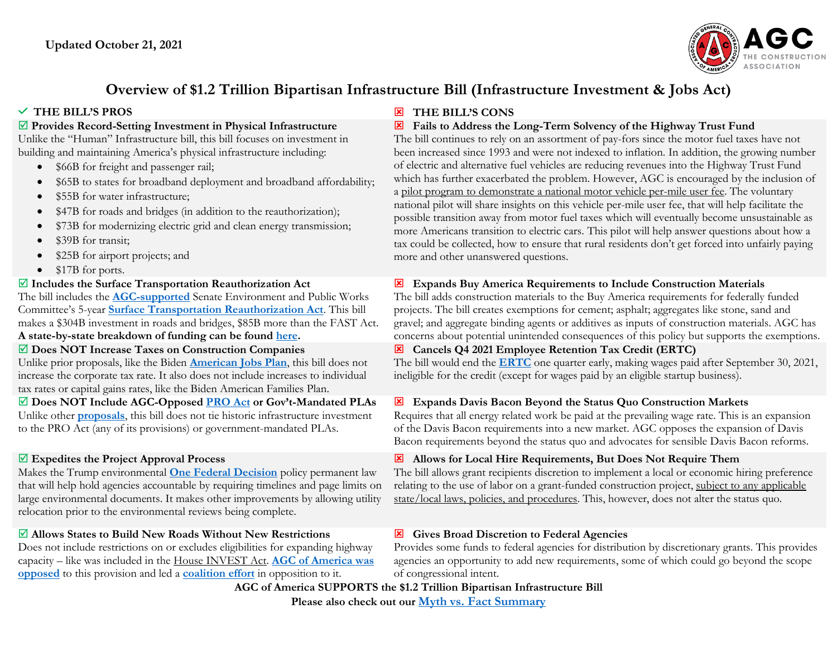

# **Overview of \$1.2 Trillion Bipartisan Infrastructure Bill (Infrastructure Investment & Jobs Act)**

#### **Provides Record-Setting Investment in Physical Infrastructure**

Unlike the "Human" Infrastructure bill, this bill focuses on investment in building and maintaining America's physical infrastructure including:

- \$66B for freight and passenger rail;
- \$65B to states for broadband deployment and broadband affordability;
- \$55B for water infrastructure;
- \$47B for roads and bridges (in addition to the reauthorization);
- \$73B for modernizing electric grid and clean energy transmission;
- \$39B for transit:
- \$25B for airport projects; and
- \$17B for ports.

#### **Includes the Surface Transportation Reauthorization Act**

The bill includes the **[AGC-supported](https://www.agc.org/sites/default/files/Summary-%20Surface%20Transportation%20Reauthorization%20Act%20of%202021_v2.pdf)** Senate Environment and Public Works Committee's 5-year **[Surface Transportation Reauthorization Act](https://www.epw.senate.gov/public/_cache/files/f/9/f9845f69-a3ed-4211-a1be-7b36be8a14c7/FEF54A141A40BAC6FC86E9FBFD656C3C.stra-summary-one-pager-final.pdf)**. This bill makes a \$304B investment in roads and bridges, \$85B more than the FAST Act.

#### **A state-by-state breakdown of funding can be found [here.](https://www.epw.senate.gov/public/_cache/files/7/6/76a75cd2-8e70-42c4-8142-82ffef83c867/29CF2A3E5A597BF34CD020F96F197F4A.ta-est-fy-2022-2026-apportionments-epw-reauth-act-2021-rev-1.pdf)**

#### **Does NOT Increase Taxes on Construction Companies**

Unlike prior proposals, like the Biden **[American Jobs Plan](https://www.agc.org/news/2021/03/31/president%E2%80%99s-much-needed-infrastructure-investments-are-likely-be-undermined-proposal)**, this bill does not increase the corporate tax rate. It also does not include increases to individual tax rates or capital gains rates, like the Biden American Families Plan.

#### **Does NOT Include AGC-Opposed [PRO Act](https://www.agc.org/protecting-right-organize-pro-act) or Gov't-Mandated PLAs** Unlike other **[proposals](https://www.agc.org/news/2021/03/31/president%E2%80%99s-much-needed-infrastructure-investments-are-likely-be-undermined-proposal)**, this bill does not tie historic infrastructure investment to the PRO Act (any of its provisions) or government-mandated PLAs.

# **Expedites the Project Approval Process**

Makes the Trump environmental **[One Federal Decision](https://www.agc.org/news/2018/04/13/administration-announces-one-federal-decision-policy)** policy permanent law that will help hold agencies accountable by requiring timelines and page limits on large environmental documents. It makes other improvements by allowing utility relocation prior to the environmental reviews being complete.

#### **Allows States to Build New Roads Without New Restrictions**

Does not include restrictions on or excludes eligibilities for expanding highway capacity – like was included in the [House INVEST Act.](https://www.agc.org/sites/default/files/AGC%20of%20America%20Overview%20of%20INVEST%20in%20America%20Act%20House%20Passed%20v3.pdf) **[AGC of America was](https://www.agc.org/sites/default/files/AGC%20Letter%20-%20Bipartisan%20Infrastructure%20Framework%20Final.pdf?utm_source=informz&utm_medium=email&utm_campaign=informz_email&_zs=x5O2k1&_zl=vugl7)  [opposed](https://www.agc.org/sites/default/files/AGC%20Letter%20-%20Bipartisan%20Infrastructure%20Framework%20Final.pdf?utm_source=informz&utm_medium=email&utm_campaign=informz_email&_zs=x5O2k1&_zl=vugl7)** to this provision and led a **[coalition effort](https://www.agc.org/sites/default/files/Highway%20Funding%20and%20Flexibility%20Letter_%20AGC%20AHUA%20-%20Final%20April%2020021.pdf)** in opposition to it.

# **THE BILL'S PROS THE BILL'S CONS**

#### **Fails to Address the Long-Term Solvency of the Highway Trust Fund**

The bill continues to rely on an assortment of pay-fors since the motor fuel taxes have not been increased since 1993 and were not indexed to inflation. In addition, the growing number of electric and alternative fuel vehicles are reducing revenues into the Highway Trust Fund which has further exacerbated the problem. However, AGC is encouraged by the inclusion of a pilot program to demonstrate a national motor vehicle per-mile user fee. The voluntary national pilot will share insights on this vehicle per-mile user fee, that will help facilitate the possible transition away from motor fuel taxes which will eventually become unsustainable as more Americans transition to electric cars. This pilot will help answer questions about how a tax could be collected, how to ensure that rural residents don't get forced into unfairly paying more and other unanswered questions.

# **Expands Buy America Requirements to Include Construction Materials**

The bill adds construction materials to the Buy America requirements for federally funded projects. The bill creates exemptions for cement; asphalt; aggregates like stone, sand and gravel; and aggregate binding agents or additives as inputs of construction materials. AGC has concerns about potential unintended consequences of this policy but supports the exemptions.

# **Cancels Q4 2021 Employee Retention Tax Credit (ERTC)**

The bill would end the **[ERTC](https://www.irs.gov/coronavirus/employee-retention-credit)** one quarter early, making wages paid after September 30, 2021, ineligible for the credit (except for wages paid by an eligible startup business).

# **Expands Davis Bacon Beyond the Status Quo Construction Markets**

Requires that all energy related work be paid at the prevailing wage rate. This is an expansion of the Davis Bacon requirements into a new market. AGC opposes the expansion of Davis Bacon requirements beyond the status quo and advocates for sensible Davis Bacon reforms.

# **Allows for Local Hire Requirements, But Does Not Require Them**

The bill allows grant recipients discretion to implement a local or economic hiring preference relating to the use of labor on a grant-funded construction project, subject to any applicable state/local laws, policies, and procedures. This, however, does not alter the status quo.

# **Gives Broad Discretion to Federal Agencies**

Provides some funds to federal agencies for distribution by discretionary grants. This provides agencies an opportunity to add new requirements, some of which could go beyond the scope of congressional intent.

# **AGC of America SUPPORTS the \$1.2 Trillion Bipartisan Infrastructure Bill**

**Please also check out our [Myth vs. Fact Summary](https://www.agc.org/sites/default/files/Files/Govt%20Regulations%20and%20Executive%20Orders/%241.2%20Bipartisan%20%28Physical%29%20Infrastructure%20Bill%20%28IIJA%29%20Myths%20v.%20Facts_.pdf?utm_source=informz&utm_medium=email&utm_campaign=informz_email&_zs=x5O2k1&_zl=dQNw7)**